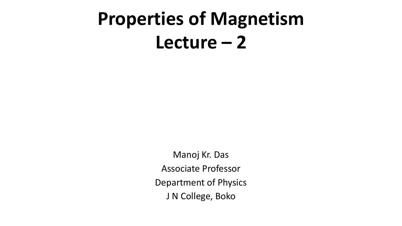# **Properties of Magnetism**  $L$ ecture  $-2$

Manoj Kr. Das Associate Professor Department of Physics J N College, Boko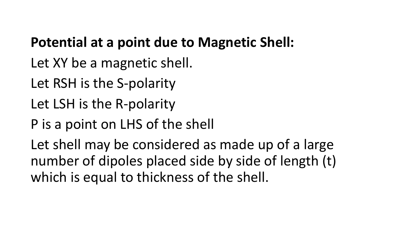#### **Potential at a point due to Magnetic Shell:**

- Let XY be a magnetic shell.
- Let RSH is the S-polarity
- Let LSH is the R-polarity
- P is a point on LHS of the shell

Let shell may be considered as made up of a large number of dipoles placed side by side of length (t) which is equal to thickness of the shell.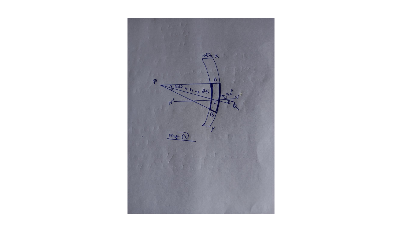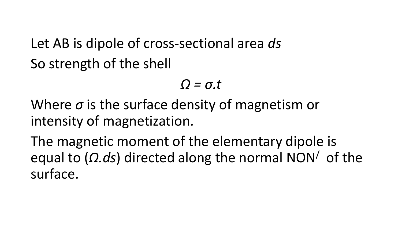Let AB is dipole of cross-sectional area *ds* So strength of the shell

*Ω = σ.t*

Where *σ* is the surface density of magnetism or intensity of magnetization.

The magnetic moment of the elementary dipole is equal to (*Ω.ds*) directed along the normal NON/ of the surface.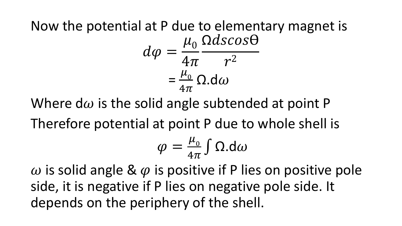#### Now the potential at P due to elementary magnet is  $d\varphi =$  $\mu_{0}$  $4\pi$  $\Omega dscos\Theta$  $r^2$ =  $\mu_{0}$  $4\pi$  $\Omega$ .d $\omega$

Where d $\omega$  is the solid angle subtended at point P

Therefore potential at point P due to whole shell is

$$
\varphi = \frac{\mu_0}{4\pi} \int \Omega \, d\omega
$$

 $\omega$  is solid angle &  $\varphi$  is positive if P lies on positive pole side, it is negative if P lies on negative pole side. It depends on the periphery of the shell.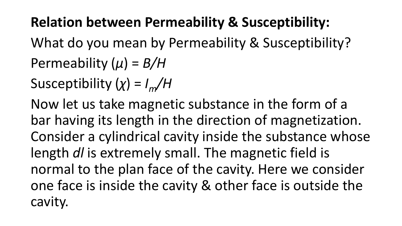## **Relation between Permeability & Susceptibility:**

What do you mean by Permeability & Susceptibility? Permeability (*µ*) = *B/H*

Susceptibility (*χ*) = *Im/H*

Now let us take magnetic substance in the form of a bar having its length in the direction of magnetization. Consider a cylindrical cavity inside the substance whose length *dl* is extremely small. The magnetic field is normal to the plan face of the cavity. Here we consider one face is inside the cavity & other face is outside the cavity.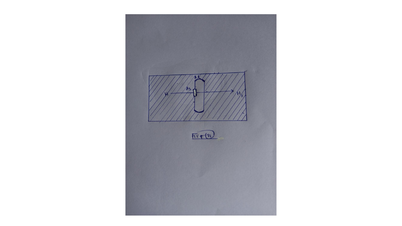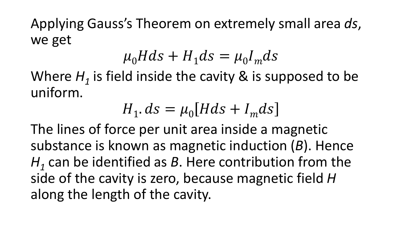Applying Gauss's Theorem on extremely small area *ds*, we get

$$
\mu_0 H ds + H_1 ds = \mu_0 I_m ds
$$

Where  $H_1$  is field inside the cavity  $\&$  is supposed to be uniform.

$$
H_1. ds = \mu_0 [H ds + I_m ds]
$$

The lines of force per unit area inside a magnetic substance is known as magnetic induction (*B*). Hence *H1* can be identified as *B*. Here contribution from the side of the cavity is zero, because magnetic field *H*  along the length of the cavity.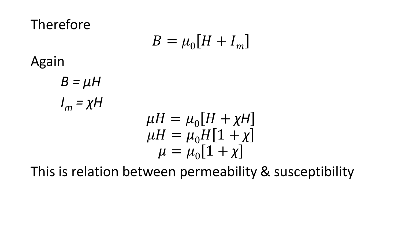Therefore

$$
B = \mu_0 [H + I_m]
$$

Again

$$
B = \mu H
$$
  
\n
$$
I_m = \chi H
$$
  
\n
$$
\mu H = \mu_0 [H + \chi H]
$$
  
\n
$$
\mu H = \mu_0 H [1 + \chi]
$$
  
\n
$$
\mu = \mu_0 [1 + \chi]
$$

This is relation between permeability & susceptibility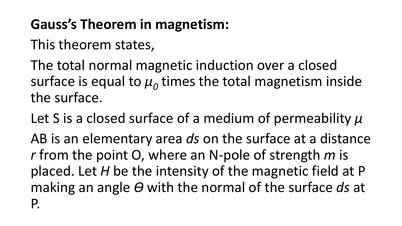# **Gauss's Theorem in magnetism:**

This theorem states,

The total normal magnetic induction over a closed surface is equal to  $\mu$ <sup> $_0$ </sup> times the total magnetism inside the surface.

Let S is a closed surface of a medium of permeability *µ* AB is an elementary area *ds* on the surface at a distance *r* from the point O, where an N-pole of strength *m* is placed. Let *H* be the intensity of the magnetic field at P making an angle  $\theta$  with the normal of the surface ds at P.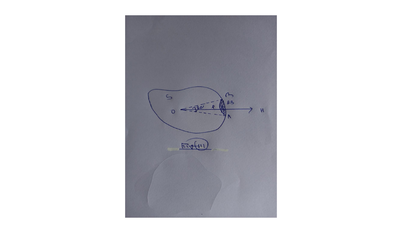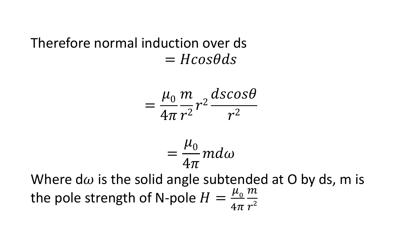### Therefore normal induction over ds  $= H \cos \theta ds$

$$
=\frac{\mu_0}{4\pi}\frac{m}{r^2}r^2\frac{dscos\theta}{r^2}
$$

$$
=\frac{\mu_0}{4\pi}md\omega
$$

Where d $\omega$  is the solid angle subtended at O by ds, m is the pole strength of N-pole  $H=$  $\mu_{0}$  $4\pi$  $\overline{m}$  $r^2$